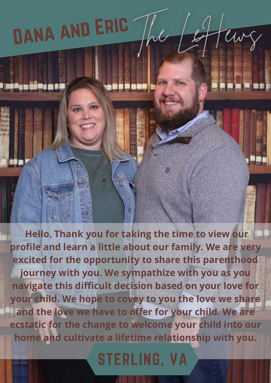## Dana and Eric

 **Hello. Thank you for taking the time to view our profile and learn a little about our family. We are very excited for the opportunity to share this parenthood journey with you. We sympathize with you as you navigate this difficult decision based on your love for your child. We hope to covey to you the love we share and the love we have to offer for your child. We are ecstatic for the change to welcome your child into our home and cultivate a lifetime relationship with you.**

teurg

 $\iota$ 

STERLING, VA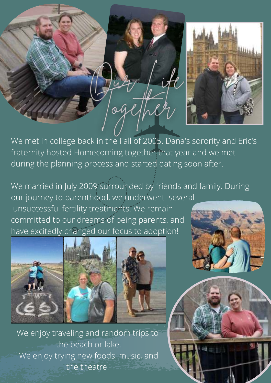

We met in college back in the Fall of 2005. Dana's sorority and Eric's fraternity hosted Homecoming together that year and we met during the planning process and started dating soon after.

og

We married in July 2009 surrounded by friends and family. During our journey to parenthood, we underwent several unsuccessful fertility treatments. We remain committed to our dreams of being parents, and have excitedly changed our focus to adoption!







4 中国

We enjoy traveling and random trips to the beach or lake. We enjoy trying new foods. music, and the theatre.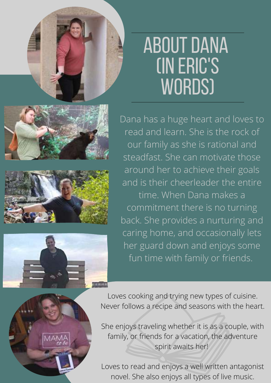## About Dana (In Eric's WORDS)







Dana has a huge heart and loves to read and learn. She is the rock of our family as she is rational and steadfast. She can motivate those around her to achieve their goals and is their cheerleader the entire time. When Dana makes a commitment there is no turning back. She provides a nurturing and caring home, and occasionally lets her guard down and enjoys some fun time with family or friends.



Loves cooking and trying new types of cuisine. Never follows a recipe and seasons with the heart.

She enjoys traveling whether it is as a couple, with family, or friends for a vacation, the adventure spirit awaits her!

Loves to read and enjoys a well written antagonist novel. She also enjoys all types of live music.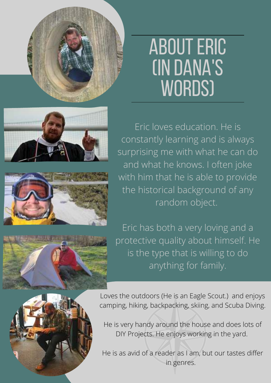

## About Eric (In Dana's WORDS)





Eric loves education. He is constantly learning and is always surprising me with what he can do and what he knows. I often joke with him that he is able to provide the historical background of any random object.

Eric has both a very loving and a protective quality about himself. He is the type that is willing to do anything for family.



Loves the outdoors (He is an Eagle Scout.) and enjoys camping, hiking, backpacking, skiing, and Scuba Diving.

He is very handy around the house and does lots of DIY Projects. He enjoys working in the yard.

He is as avid of a reader as I am, but our tastes differ in genres.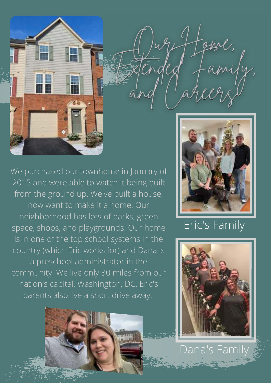



Eric's Family



Dana's Family

We purchased our townhome in January of 2015 and were able to watch it being built from the ground up. We've built a house, now want to make it a home. Our neighborhood has lots of parks, green space, shops, and playgrounds. Our home is in one of the top school systems in the country (which Eric works for) and Dana is a preschool administrator in the community. We live only 30 miles from our nation's capital, Washington, DC. Eric's parents also live a short drive away.